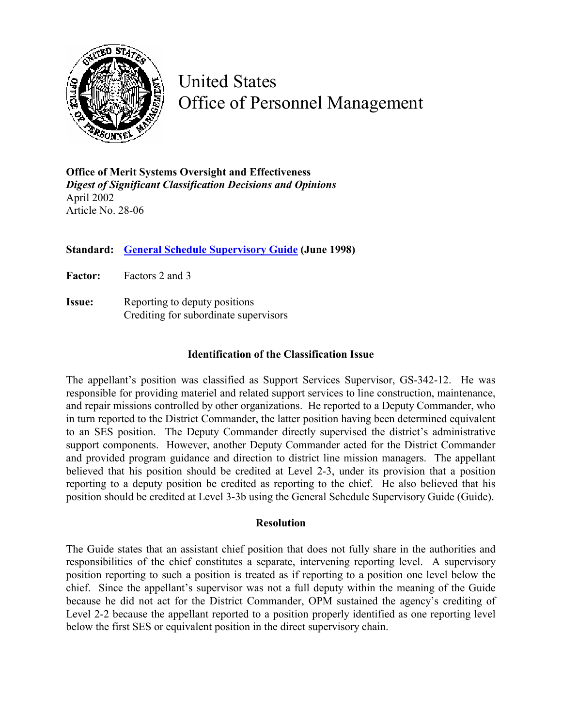

United States Office of Personnel Management

**Office of Merit Systems Oversight and Effectiveness**  *Digest of Significant Classification Decisions and Opinions* April 2002 Article No. 28-06

**Standard: [General Schedule Supervisory Guide](http://www.opm.gov/fedclass/gssg.pdf) (June 1998)** 

**Factor:** Factors 2 and 3

**Issue:** Reporting to deputy positions Crediting for subordinate supervisors

## **Identification of the Classification Issue**

The appellant's position was classified as Support Services Supervisor, GS-342-12. He was responsible for providing materiel and related support services to line construction, maintenance, and repair missions controlled by other organizations. He reported to a Deputy Commander, who in turn reported to the District Commander, the latter position having been determined equivalent to an SES position. The Deputy Commander directly supervised the district's administrative support components. However, another Deputy Commander acted for the District Commander and provided program guidance and direction to district line mission managers. The appellant believed that his position should be credited at Level 2-3, under its provision that a position reporting to a deputy position be credited as reporting to the chief. He also believed that his position should be credited at Level 3-3b using the General Schedule Supervisory Guide (Guide).

## **Resolution**

The Guide states that an assistant chief position that does not fully share in the authorities and responsibilities of the chief constitutes a separate, intervening reporting level. A supervisory position reporting to such a position is treated as if reporting to a position one level below the chief. Since the appellant's supervisor was not a full deputy within the meaning of the Guide because he did not act for the District Commander, OPM sustained the agency's crediting of Level 2-2 because the appellant reported to a position properly identified as one reporting level below the first SES or equivalent position in the direct supervisory chain.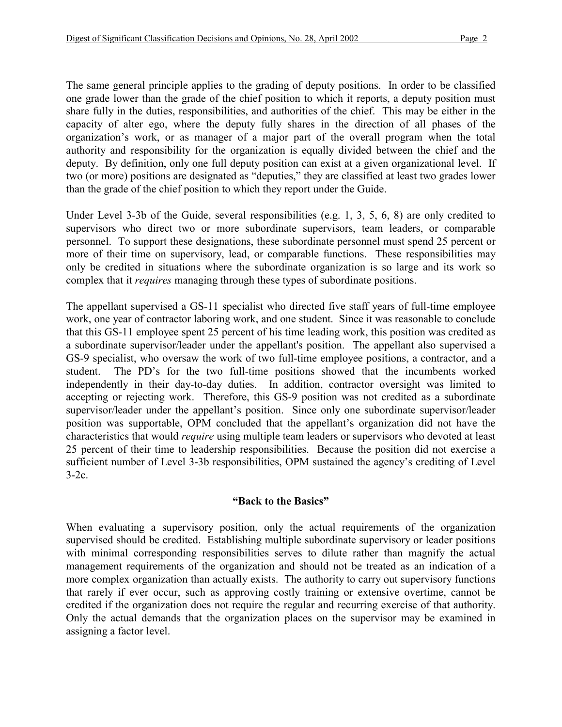The same general principle applies to the grading of deputy positions. In order to be classified one grade lower than the grade of the chief position to which it reports, a deputy position must share fully in the duties, responsibilities, and authorities of the chief. This may be either in the capacity of alter ego, where the deputy fully shares in the direction of all phases of the organization's work, or as manager of a major part of the overall program when the total authority and responsibility for the organization is equally divided between the chief and the deputy. By definition, only one full deputy position can exist at a given organizational level. If two (or more) positions are designated as "deputies," they are classified at least two grades lower than the grade of the chief position to which they report under the Guide.

Under Level 3-3b of the Guide, several responsibilities (e.g. 1, 3, 5, 6, 8) are only credited to supervisors who direct two or more subordinate supervisors, team leaders, or comparable personnel. To support these designations, these subordinate personnel must spend 25 percent or more of their time on supervisory, lead, or comparable functions. These responsibilities may only be credited in situations where the subordinate organization is so large and its work so complex that it *requires* managing through these types of subordinate positions.

The appellant supervised a GS-11 specialist who directed five staff years of full-time employee work, one year of contractor laboring work, and one student. Since it was reasonable to conclude that this GS-11 employee spent 25 percent of his time leading work, this position was credited as a subordinate supervisor/leader under the appellant's position. The appellant also supervised a GS-9 specialist, who oversaw the work of two full-time employee positions, a contractor, and a student. The PD's for the two full-time positions showed that the incumbents worked independently in their day-to-day duties. In addition, contractor oversight was limited to accepting or rejecting work. Therefore, this GS-9 position was not credited as a subordinate supervisor/leader under the appellant's position. Since only one subordinate supervisor/leader position was supportable, OPM concluded that the appellant's organization did not have the characteristics that would *require* using multiple team leaders or supervisors who devoted at least 25 percent of their time to leadership responsibilities. Because the position did not exercise a sufficient number of Level 3-3b responsibilities, OPM sustained the agency's crediting of Level  $3-2c$ .

## **"Back to the Basics"**

When evaluating a supervisory position, only the actual requirements of the organization supervised should be credited. Establishing multiple subordinate supervisory or leader positions with minimal corresponding responsibilities serves to dilute rather than magnify the actual management requirements of the organization and should not be treated as an indication of a more complex organization than actually exists. The authority to carry out supervisory functions that rarely if ever occur, such as approving costly training or extensive overtime, cannot be credited if the organization does not require the regular and recurring exercise of that authority. Only the actual demands that the organization places on the supervisor may be examined in assigning a factor level.